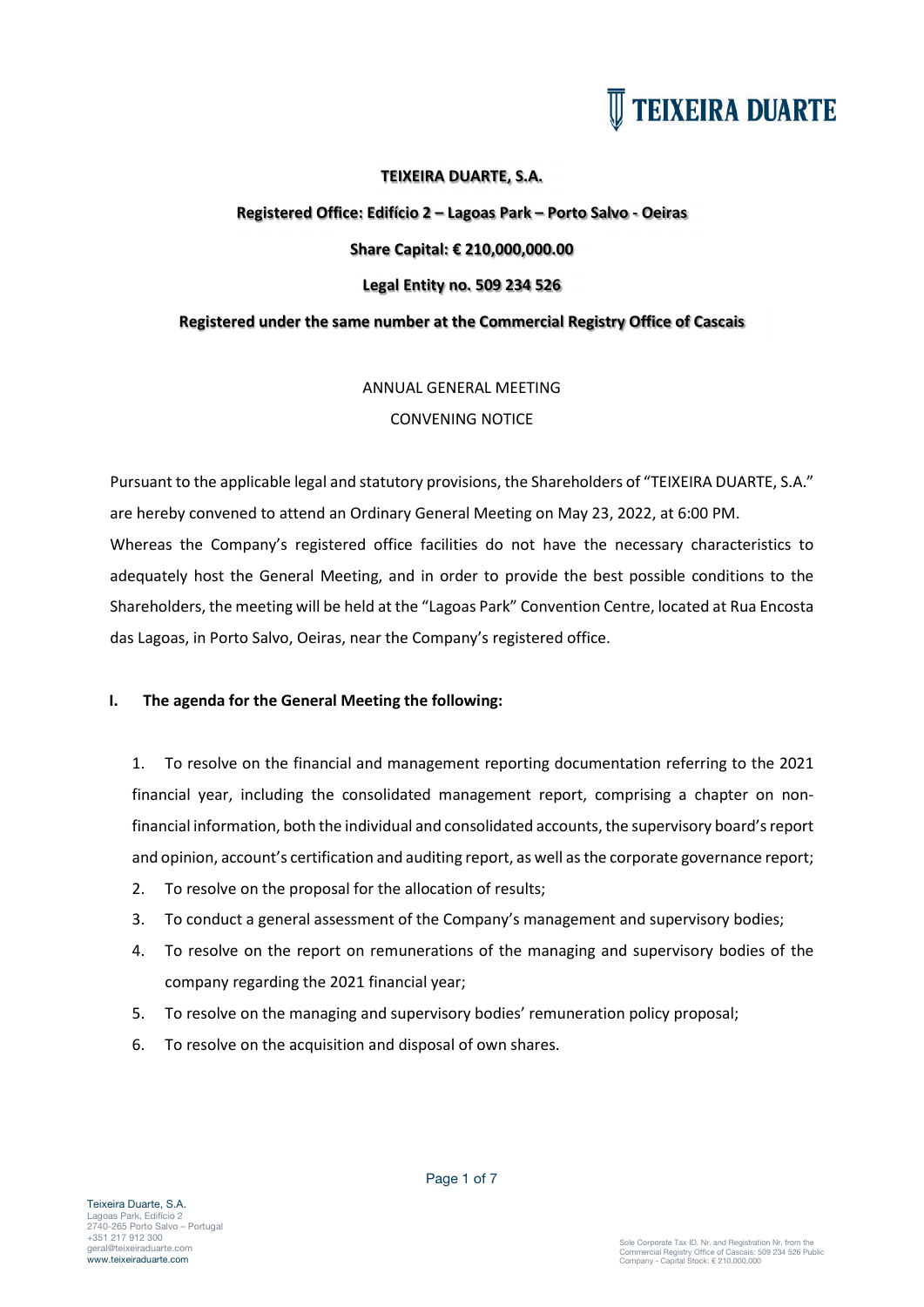

### **TEIXEIRA DUARTE, S.A.**

### **Registered Office: Edifício 2 – Lagoas Park – Porto Salvo - Oeiras Share Capital: € 210,000,000.00 Legal Entity no. 509 234 526**

### **Registered under the same number at the Commercial Registry Office of Cascais**

### ANNUAL GENERAL MEETING

### CONVENING NOTICE

Pursuant to the applicable legal and statutory provisions, the Shareholders of "TEIXEIRA DUARTE, S.A." are hereby convened to attend an Ordinary General Meeting on May 23, 2022, at 6:00 PM. Whereas the Company's registered office facilities do not have the necessary characteristics to adequately host the General Meeting, and in order to provide the best possible conditions to the Shareholders, the meeting will be held at the "Lagoas Park" Convention Centre, located at Rua Encosta das Lagoas, in Porto Salvo, Oeiras, near the Company's registered office.

### **I. The agenda for the General Meeting the following:**

1. To resolve on the financial and management reporting documentation referring to the 2021 financial year, including the consolidated management report, comprising a chapter on nonfinancial information, both the individual and consolidated accounts, the supervisory board's report and opinion, account's certification and auditing report, as well asthe corporate governance report;

- 2. To resolve on the proposal for the allocation of results;
- 3. To conduct a general assessment of the Company's management and supervisory bodies;
- 4. To resolve on the report on remunerations of the managing and supervisory bodies of the company regarding the 2021 financial year;
- 5. To resolve on the managing and supervisory bodies' remuneration policy proposal;
- 6. To resolve on the acquisition and disposal of own shares.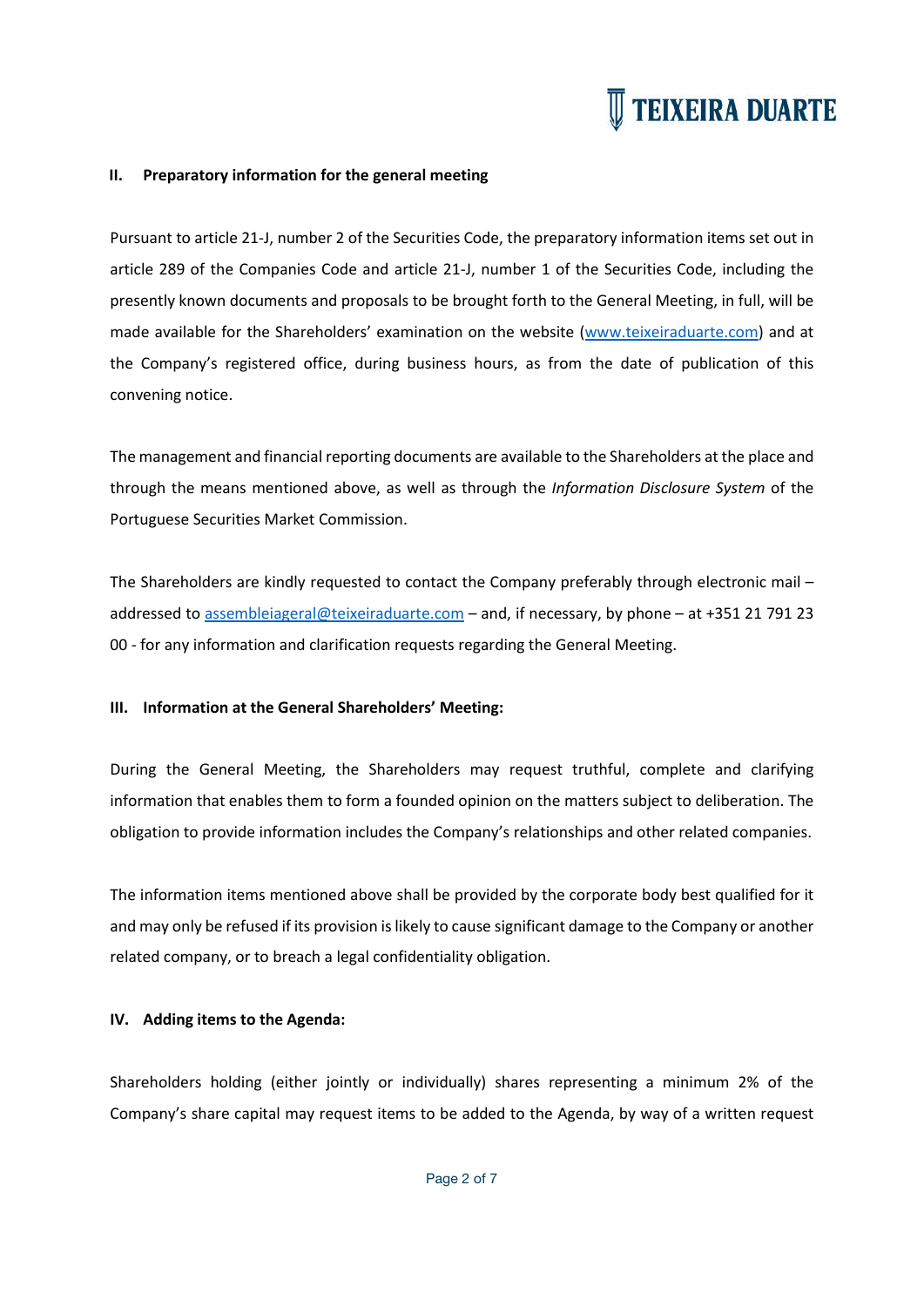#### **II. Preparatory information for the general meeting**

Pursuant to article 21-J, number 2 of the Securities Code, the preparatory information items set out in article 289 of the Companies Code and article 21-J, number 1 of the Securities Code, including the presently known documents and proposals to be brought forth to the General Meeting, in full, will be made available for the Shareholders' examination on the website (www.teixeiraduarte.com) and at the Company's registered office, during business hours, as from the date of publication of this convening notice.

The management and financial reporting documents are available to the Shareholders at the place and through the means mentioned above, as well as through the *Information Disclosure System* of the Portuguese Securities Market Commission.

The Shareholders are kindly requested to contact the Company preferably through electronic mail – addressed to assembleiageral@teixeiraduarte.com – and, if necessary, by phone – at +351 21 791 23 00 - for any information and clarification requests regarding the General Meeting.

#### **III. Information at the General Shareholders' Meeting:**

During the General Meeting, the Shareholders may request truthful, complete and clarifying information that enables them to form a founded opinion on the matters subject to deliberation. The obligation to provide information includes the Company's relationships and other related companies.

The information items mentioned above shall be provided by the corporate body best qualified for it and may only be refused if its provision is likely to cause significant damage to the Company or another related company, or to breach a legal confidentiality obligation.

### **IV. Adding items to the Agenda:**

Shareholders holding (either jointly or individually) shares representing a minimum 2% of the Company's share capital may request items to be added to the Agenda, by way of a written request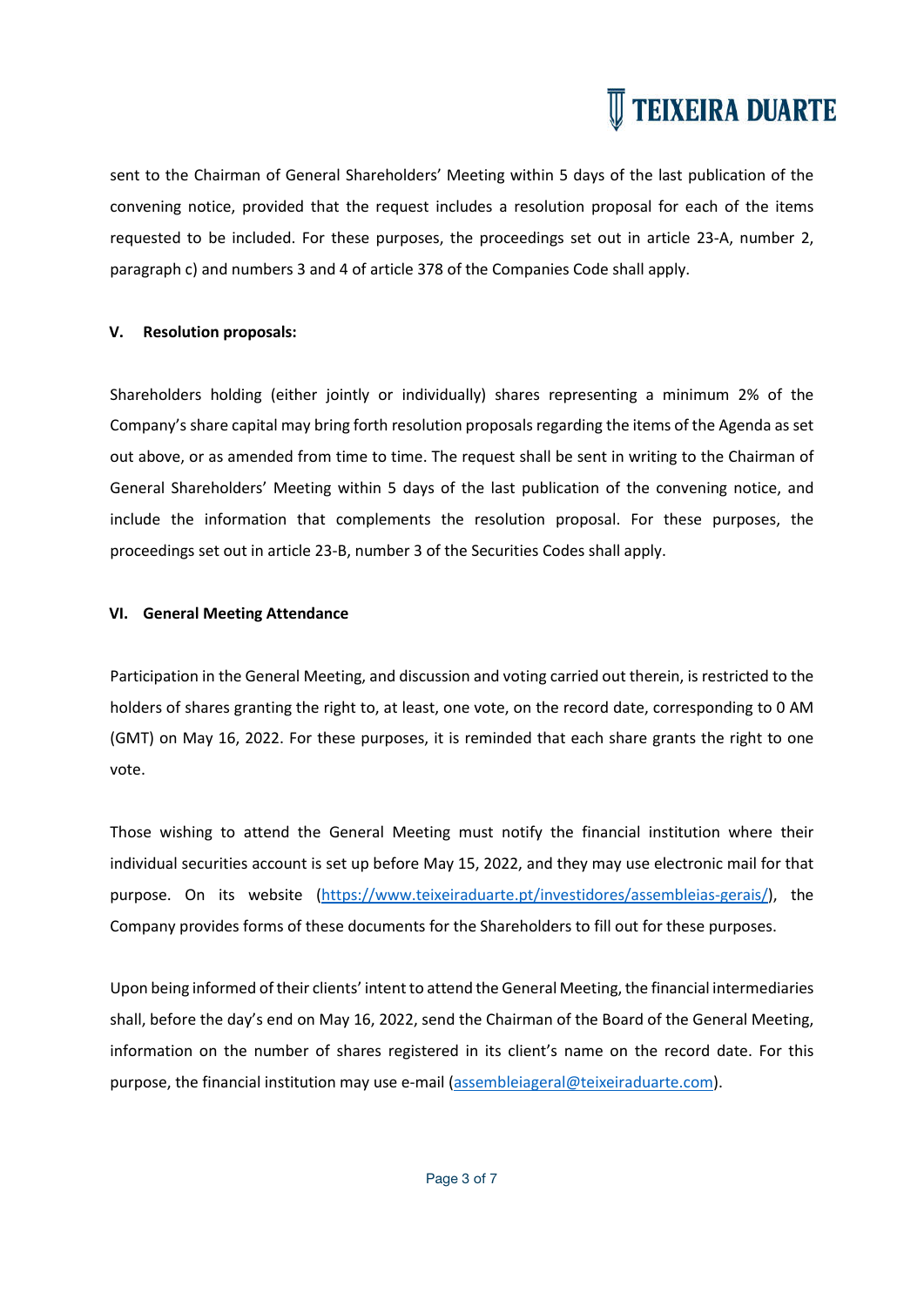sent to the Chairman of General Shareholders' Meeting within 5 days of the last publication of the convening notice, provided that the request includes a resolution proposal for each of the items requested to be included. For these purposes, the proceedings set out in article 23-A, number 2, paragraph c) and numbers 3 and 4 of article 378 of the Companies Code shall apply.

### **V. Resolution proposals:**

Shareholders holding (either jointly or individually) shares representing a minimum 2% of the Company's share capital may bring forth resolution proposals regarding the items of the Agenda as set out above, or as amended from time to time. The request shall be sent in writing to the Chairman of General Shareholders' Meeting within 5 days of the last publication of the convening notice, and include the information that complements the resolution proposal. For these purposes, the proceedings set out in article 23-B, number 3 of the Securities Codes shall apply.

### **VI. General Meeting Attendance**

Participation in the General Meeting, and discussion and voting carried out therein, is restricted to the holders of shares granting the right to, at least, one vote, on the record date, corresponding to 0 AM (GMT) on May 16, 2022. For these purposes, it is reminded that each share grants the right to one vote.

Those wishing to attend the General Meeting must notify the financial institution where their individual securities account is set up before May 15, 2022, and they may use electronic mail for that purpose. On its website (https://www.teixeiraduarte.pt/investidores/assembleias-gerais/), the Company provides forms of these documents for the Shareholders to fill out for these purposes.

Upon being informed of their clients' intent to attend the General Meeting, the financial intermediaries shall, before the day's end on May 16, 2022, send the Chairman of the Board of the General Meeting, information on the number of shares registered in its client's name on the record date. For this purpose, the financial institution may use e-mail (assembleiageral@teixeiraduarte.com).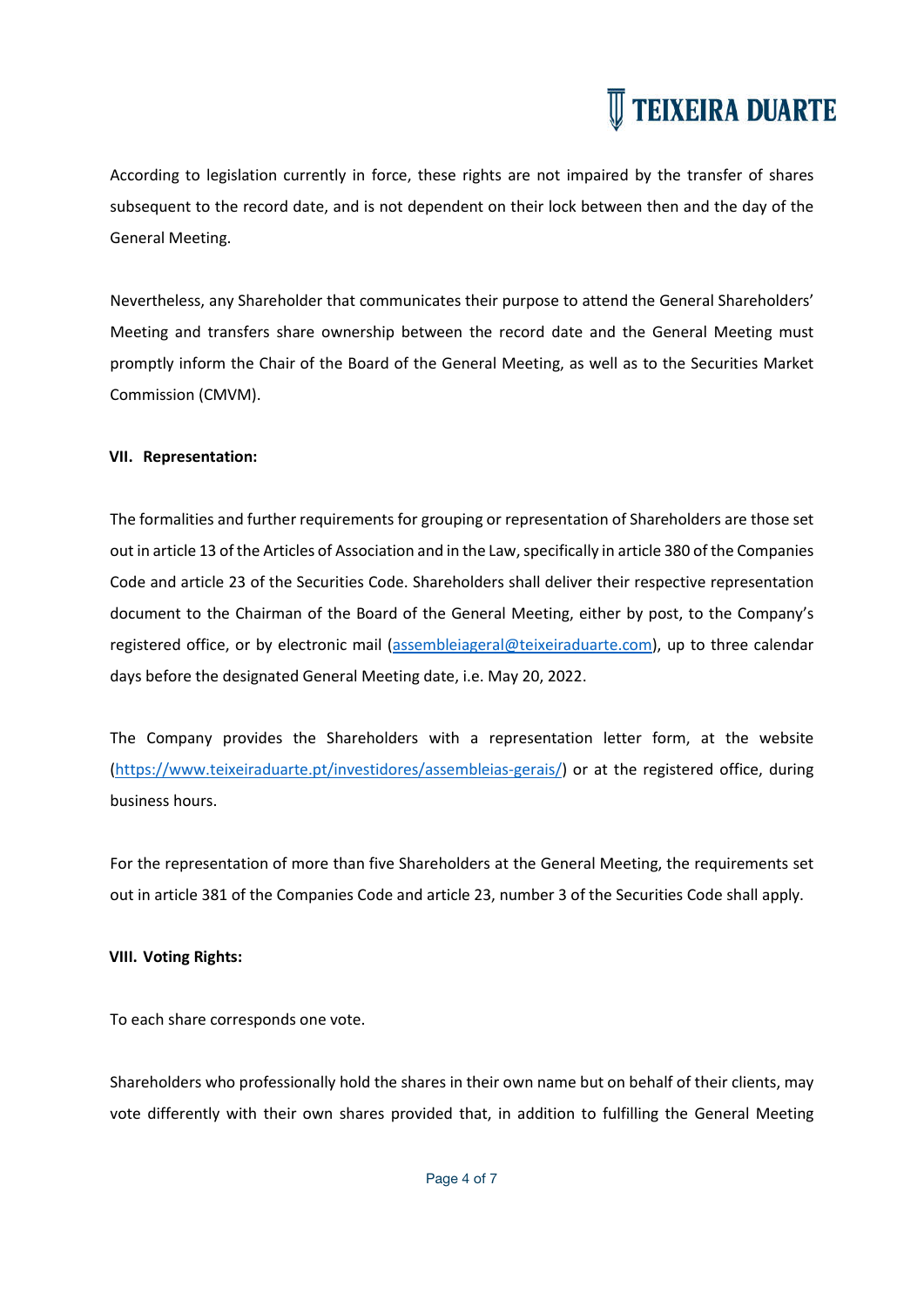According to legislation currently in force, these rights are not impaired by the transfer of shares subsequent to the record date, and is not dependent on their lock between then and the day of the General Meeting.

Nevertheless, any Shareholder that communicates their purpose to attend the General Shareholders' Meeting and transfers share ownership between the record date and the General Meeting must promptly inform the Chair of the Board of the General Meeting, as well as to the Securities Market Commission (CMVM).

### **VII. Representation:**

The formalities and further requirements for grouping or representation of Shareholders are those set out in article 13 of the Articles of Association and in the Law, specifically in article 380 of the Companies Code and article 23 of the Securities Code. Shareholders shall deliver their respective representation document to the Chairman of the Board of the General Meeting, either by post, to the Company's registered office, or by electronic mail (assembleiageral@teixeiraduarte.com), up to three calendar days before the designated General Meeting date, i.e. May 20, 2022.

The Company provides the Shareholders with a representation letter form, at the website (https://www.teixeiraduarte.pt/investidores/assembleias-gerais/) or at the registered office, during business hours.

For the representation of more than five Shareholders at the General Meeting, the requirements set out in article 381 of the Companies Code and article 23, number 3 of the Securities Code shall apply.

### **VIII. Voting Rights:**

To each share corresponds one vote.

Shareholders who professionally hold the shares in their own name but on behalf of their clients, may vote differently with their own shares provided that, in addition to fulfilling the General Meeting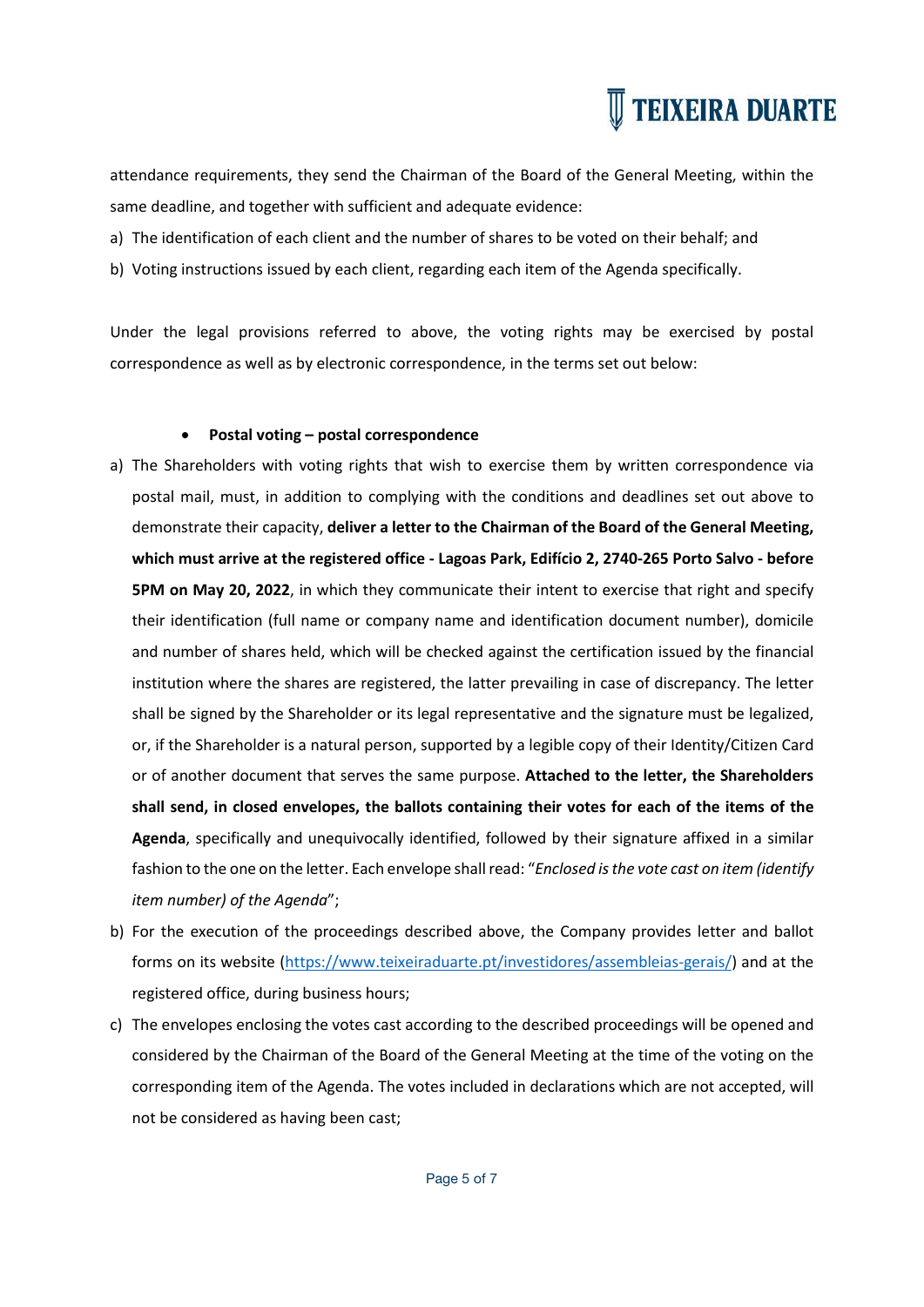

attendance requirements, they send the Chairman of the Board of the General Meeting, within the same deadline, and together with sufficient and adequate evidence:

- a) The identification of each client and the number of shares to be voted on their behalf; and
- b) Voting instructions issued by each client, regarding each item of the Agenda specifically.

Under the legal provisions referred to above, the voting rights may be exercised by postal correspondence as well as by electronic correspondence, in the terms set out below:

### **Postal voting – postal correspondence**

- a) The Shareholders with voting rights that wish to exercise them by written correspondence via postal mail, must, in addition to complying with the conditions and deadlines set out above to demonstrate their capacity, **deliver a letter to the Chairman of the Board of the General Meeting, which must arrive at the registered office - Lagoas Park, Edifício 2, 2740-265 Porto Salvo - before 5PM on May 20, 2022**, in which they communicate their intent to exercise that right and specify their identification (full name or company name and identification document number), domicile and number of shares held, which will be checked against the certification issued by the financial institution where the shares are registered, the latter prevailing in case of discrepancy. The letter shall be signed by the Shareholder or its legal representative and the signature must be legalized, or, if the Shareholder is a natural person, supported by a legible copy of their Identity/Citizen Card or of another document that serves the same purpose. **Attached to the letter, the Shareholders shall send, in closed envelopes, the ballots containing their votes for each of the items of the Agenda**, specifically and unequivocally identified, followed by their signature affixed in a similar fashion to the one on the letter. Each envelope shall read: "*Enclosed is the vote cast on item (identify item number) of the Agenda*";
- b) For the execution of the proceedings described above, the Company provides letter and ballot forms on its website (https://www.teixeiraduarte.pt/investidores/assembleias-gerais/) and at the registered office, during business hours;
- c) The envelopes enclosing the votes cast according to the described proceedings will be opened and considered by the Chairman of the Board of the General Meeting at the time of the voting on the corresponding item of the Agenda. The votes included in declarations which are not accepted, will not be considered as having been cast;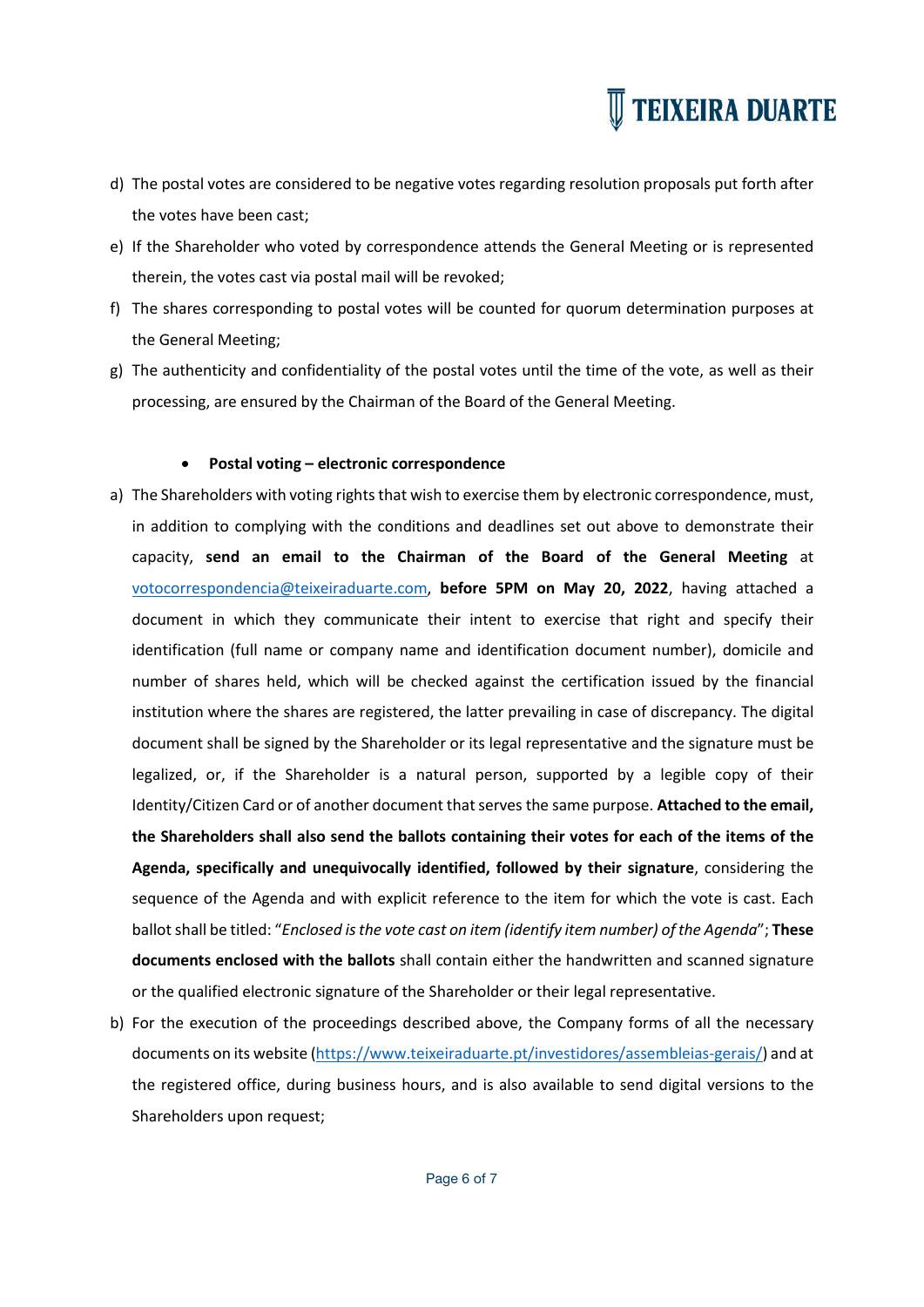- d) The postal votes are considered to be negative votes regarding resolution proposals put forth after the votes have been cast;
- e) If the Shareholder who voted by correspondence attends the General Meeting or is represented therein, the votes cast via postal mail will be revoked;
- f) The shares corresponding to postal votes will be counted for quorum determination purposes at the General Meeting;
- g) The authenticity and confidentiality of the postal votes until the time of the vote, as well as their processing, are ensured by the Chairman of the Board of the General Meeting.

### **Postal voting – electronic correspondence**

- a) The Shareholders with voting rights that wish to exercise them by electronic correspondence, must, in addition to complying with the conditions and deadlines set out above to demonstrate their capacity, **send an email to the Chairman of the Board of the General Meeting** at votocorrespondencia@teixeiraduarte.com, **before 5PM on May 20, 2022**, having attached a document in which they communicate their intent to exercise that right and specify their identification (full name or company name and identification document number), domicile and number of shares held, which will be checked against the certification issued by the financial institution where the shares are registered, the latter prevailing in case of discrepancy. The digital document shall be signed by the Shareholder or its legal representative and the signature must be legalized, or, if the Shareholder is a natural person, supported by a legible copy of their Identity/Citizen Card or of another document that serves the same purpose. **Attached to the email, the Shareholders shall also send the ballots containing their votes for each of the items of the Agenda, specifically and unequivocally identified, followed by their signature**, considering the sequence of the Agenda and with explicit reference to the item for which the vote is cast. Each ballot shall be titled: "*Enclosed is the vote cast on item (identify item number) of the Agenda*"; **These documents enclosed with the ballots** shall contain either the handwritten and scanned signature or the qualified electronic signature of the Shareholder or their legal representative.
- b) For the execution of the proceedings described above, the Company forms of all the necessary documents on its website (https://www.teixeiraduarte.pt/investidores/assembleias-gerais/) and at the registered office, during business hours, and is also available to send digital versions to the Shareholders upon request;